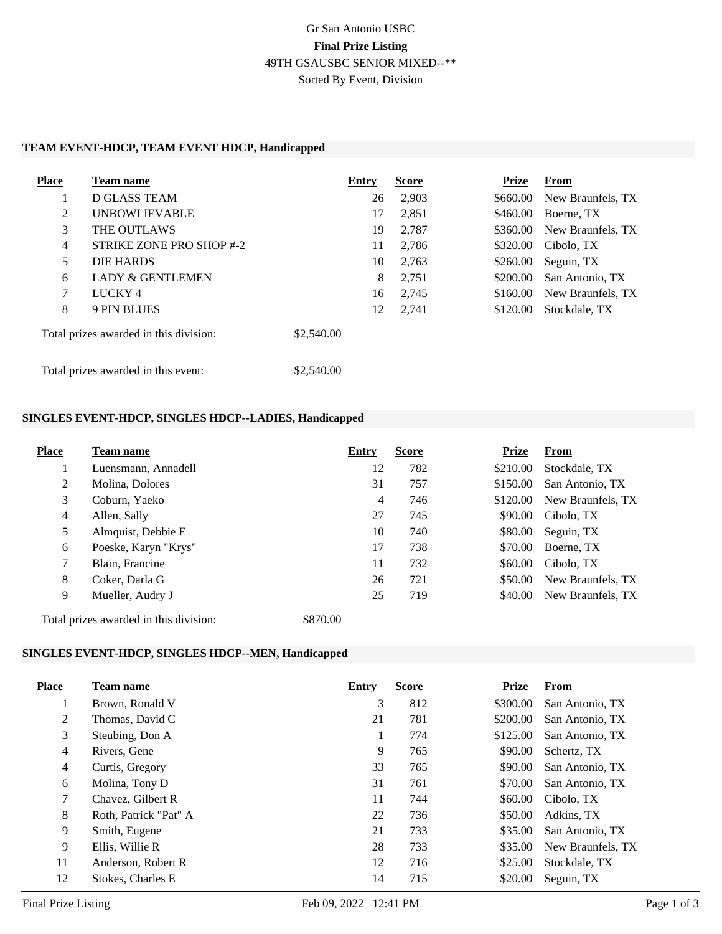# Gr San Antonio USBC **Final Prize Listing** 49TH GSAUSBC SENIOR MIXED--\*\* Sorted By Event, Division

#### **TEAM EVENT-HDCP, TEAM EVENT HDCP, Handicapped**

| <b>Place</b>                        | Team name                              | Entry      | <b>Score</b> | <b>Prize</b> | From              |
|-------------------------------------|----------------------------------------|------------|--------------|--------------|-------------------|
|                                     | D GLASS TEAM                           | 26         | 2,903        | \$660.00     | New Braunfels, TX |
| 2                                   | <b>UNBOWLIEVABLE</b>                   | 17         | 2,851        | \$460.00     | Boerne, TX        |
| 3                                   | THE OUTLAWS                            | 19         | 2,787        | \$360.00     | New Braunfels, TX |
| 4                                   | STRIKE ZONE PRO SHOP #-2               | 11         | 2,786        | \$320.00     | Cibolo, TX        |
| 5                                   | DIE HARDS                              | 10         | 2,763        | \$260.00     | Seguin, TX        |
| 6                                   | <b>LADY &amp; GENTLEMEN</b>            | 8          | 2,751        | \$200.00     | San Antonio, TX   |
| 7                                   | LUCKY <sub>4</sub>                     | 16         | 2,745        | \$160.00     | New Braunfels, TX |
| 8                                   | 9 PIN BLUES                            | 12         | 2,741        | \$120.00     | Stockdale, TX     |
|                                     | Total prizes awarded in this division: | \$2,540.00 |              |              |                   |
| Total prizes awarded in this event: |                                        | \$2,540.00 |              |              |                   |

#### **SINGLES EVENT-HDCP, SINGLES HDCP--LADIES, Handicapped**

| <b>Place</b>   | Team name                              | Entry    | <b>Score</b> | <b>Prize</b> | <b>From</b>       |
|----------------|----------------------------------------|----------|--------------|--------------|-------------------|
| 1              | Luensmann, Annadell                    | 12       | 782          | \$210.00     | Stockdale, TX     |
| 2              | Molina, Dolores                        | 31       | 757          | \$150.00     | San Antonio, TX   |
| 3              | Coburn, Yaeko                          | 4        | 746          | \$120.00     | New Braunfels, TX |
| $\overline{4}$ | Allen, Sally                           | 27       | 745          | \$90.00      | Cibolo, TX        |
| 5              | Almquist, Debbie E                     | 10       | 740          | \$80.00      | Seguin, TX        |
| 6              | Poeske, Karyn "Krys"                   | 17       | 738          | \$70.00      | Boerne, TX        |
| 7              | Blain, Francine                        | 11       | 732          | \$60.00      | Cibolo. TX        |
| 8              | Coker, Darla G                         | 26       | 721          | \$50.00      | New Braunfels, TX |
| 9              | Mueller, Audry J                       | 25       | 719          | \$40.00      | New Braunfels, TX |
|                | Total prizes awarded in this division: | \$870.00 |              |              |                   |

#### **SINGLES EVENT-HDCP, SINGLES HDCP--MEN, Handicapped**

| <b>Place</b>    | Team name             | Entry | <b>Score</b> | <b>Prize</b> | <b>From</b>       |
|-----------------|-----------------------|-------|--------------|--------------|-------------------|
|                 | Brown, Ronald V       | 3     | 812          | \$300.00     | San Antonio, TX   |
| 2               | Thomas, David C       | 21    | 781          | \$200.00     | San Antonio, TX   |
| 3               | Steubing, Don A       | 1     | 774          | \$125.00     | San Antonio, TX   |
| $\overline{4}$  | Rivers, Gene          | 9     | 765          | \$90.00      | Schertz, TX       |
| $\overline{4}$  | Curtis, Gregory       | 33    | 765          | \$90.00      | San Antonio, TX   |
| 6               | Molina, Tony D        | 31    | 761          | \$70.00      | San Antonio, TX   |
| $7\overline{ }$ | Chavez, Gilbert R     | 11    | 744          | \$60.00      | Cibolo, TX        |
| 8               | Roth, Patrick "Pat" A | 22    | 736          | \$50.00      | Adkins, TX        |
| 9               | Smith, Eugene         | 21    | 733          | \$35.00      | San Antonio, TX   |
| 9               | Ellis. Willie R       | 28    | 733          | \$35.00      | New Braunfels, TX |
| 11              | Anderson, Robert R    | 12    | 716          | \$25.00      | Stockdale, TX     |
| 12              | Stokes, Charles E     | 14    | 715          | \$20.00      | Seguin, TX        |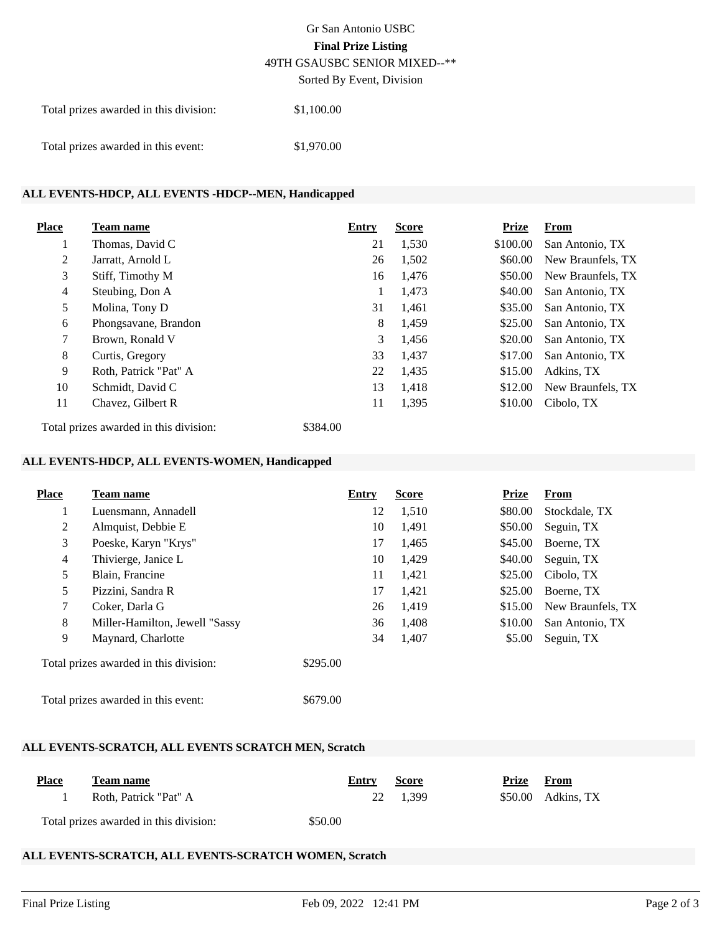# Gr San Antonio USBC **Final Prize Listing** 49TH GSAUSBC SENIOR MIXED--\*\*

Sorted By Event, Division

| Total prizes awarded in this division: | \$1,100.00 |
|----------------------------------------|------------|
| Total prizes awarded in this event:    | \$1,970.00 |

## **ALL EVENTS-HDCP, ALL EVENTS -HDCP--MEN, Handicapped**

| <b>Place</b>   | Team name             | Entry | <b>Score</b> | <b>Prize</b> | From              |
|----------------|-----------------------|-------|--------------|--------------|-------------------|
|                | Thomas, David C       | 21    | 1,530        | \$100.00     | San Antonio, TX   |
| 2              | Jarratt, Arnold L     | 26    | 1,502        | \$60.00      | New Braunfels, TX |
| 3              | Stiff, Timothy M      | 16    | 1,476        | \$50.00      | New Braunfels, TX |
| $\overline{4}$ | Steubing, Don A       |       | 1,473        | \$40.00      | San Antonio, TX   |
| 5              | Molina, Tony D        | 31    | 1,461        | \$35.00      | San Antonio, TX   |
| 6              | Phongsavane, Brandon  | 8     | 1,459        | \$25.00      | San Antonio, TX   |
| $\tau$         | Brown, Ronald V       | 3     | 1,456        | \$20.00      | San Antonio, TX   |
| 8              | Curtis, Gregory       | 33    | 1,437        | \$17.00      | San Antonio, TX   |
| 9              | Roth, Patrick "Pat" A | 22    | 1,435        | \$15.00      | Adkins, TX        |
| 10             | Schmidt, David C      | 13    | 1,418        | \$12.00      | New Braunfels, TX |
| 11             | Chavez, Gilbert R     | 11    | 1,395        | \$10.00      | Cibolo, TX        |

Total prizes awarded in this division: \$384.00

## **ALL EVENTS-HDCP, ALL EVENTS-WOMEN, Handicapped**

| Place          | Team name                              | Entry    | <b>Score</b> | Prize   | From              |
|----------------|----------------------------------------|----------|--------------|---------|-------------------|
| 1              | Luensmann, Annadell                    | 12       | 1,510        | \$80.00 | Stockdale, TX     |
| 2              | Almquist, Debbie E                     | 10       | 1,491        | \$50.00 | Seguin, TX        |
| 3              | Poeske, Karyn "Krys"                   | 17       | 1,465        | \$45.00 | Boerne, TX        |
| $\overline{4}$ | Thivierge, Janice L                    | 10       | 1,429        | \$40.00 | Seguin, TX        |
| 5              | Blain, Francine                        | 11       | 1,421        | \$25.00 | Cibolo, TX        |
| 5              | Pizzini, Sandra R                      | 17       | 1,421        | \$25.00 | Boerne, TX        |
| 7              | Coker, Darla G                         | 26       | 1,419        | \$15.00 | New Braunfels, TX |
| 8              | Miller-Hamilton, Jewell "Sassy         | 36       | 1,408        | \$10.00 | San Antonio, TX   |
| 9              | Maynard, Charlotte                     | 34       | 1,407        | \$5.00  | Seguin, TX        |
|                | Total prizes awarded in this division: | \$295.00 |              |         |                   |
|                | Total prizes awarded in this event:    | \$679.00 |              |         |                   |

#### **ALL EVENTS-SCRATCH, ALL EVENTS SCRATCH MEN, Scratch**

| <b>Place</b> | <b>Team name</b>                       | Entry   | <b>Score</b> | Prize | From                |  |
|--------------|----------------------------------------|---------|--------------|-------|---------------------|--|
|              | Roth. Patrick "Pat" A                  |         | 22 1.399     |       | $$50.00$ Adkins, TX |  |
|              | Total prizes awarded in this division: | \$50.00 |              |       |                     |  |

**Place Team name Entry Score Prize From**

## **ALL EVENTS-SCRATCH, ALL EVENTS-SCRATCH WOMEN, Scratch**